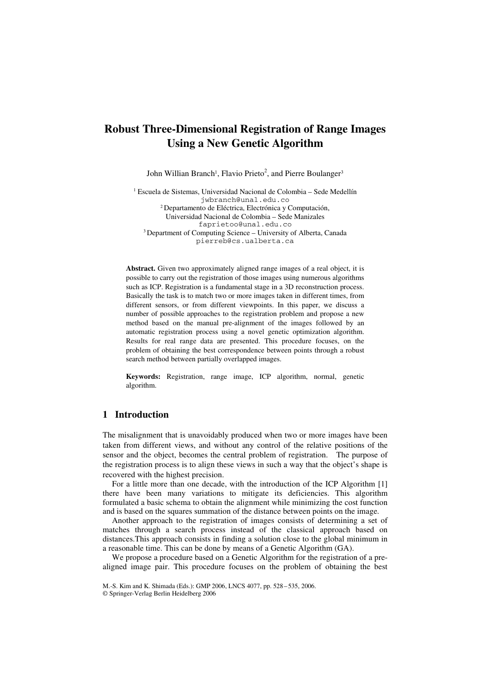# **Robust Three-Dimensional Registration of Range Images Using a New Genetic Algorithm**

John Willian Branch<sup>1</sup>, Flavio Prieto<sup>2</sup>, and Pierre Boulanger<sup>3</sup>

<sup>1</sup> Escuela de Sistemas, Universidad Nacional de Colombia - Sede Medellín jwbranch@unal.edu.co 2 Departamento de Eléctrica, Electrónica y Computación, Universidad Nacional de Colombia – Sede Manizales faprietoo@unal.edu.co 3 Department of Computing Science – University of Alberta, Canada pierreb@cs.ualberta.ca

**Abstract.** Given two approximately aligned range images of a real object, it is possible to carry out the registration of those images using numerous algorithms such as ICP. Registration is a fundamental stage in a 3D reconstruction process. Basically the task is to match two or more images taken in different times, from different sensors, or from different viewpoints. In this paper, we discuss a number of possible approaches to the registration problem and propose a new method based on the manual pre-alignment of the images followed by an automatic registration process using a novel genetic optimization algorithm. Results for real range data are presented. This procedure focuses, on the problem of obtaining the best correspondence between points through a robust search method between partially overlapped images.

**Keywords:** Registration, range image, ICP algorithm, normal, genetic algorithm.

### **1 Introduction**

The misalignment that is unavoidably produced when two or more images have been taken from different views, and without any control of the relative positions of the sensor and the object, becomes the central problem of registration. The purpose of the registration process is to align these views in such a way that the object's shape is recovered with the highest precision.

For a little more than one decade, with the introduction of the ICP Algorithm [1] there have been many variations to mitigate its deficiencies. This algorithm formulated a basic schema to obtain the alignment while minimizing the cost function and is based on the squares summation of the distance between points on the image.

Another approach to the registration of images consists of determining a set of matches through a search process instead of the classical approach based on distances.This approach consists in finding a solution close to the global minimum in a reasonable time. This can be done by means of a Genetic Algorithm (GA).

We propose a procedure based on a Genetic Algorithm for the registration of a prealigned image pair. This procedure focuses on the problem of obtaining the best

M.-S. Kim and K. Shimada (Eds.): GMP 2006, LNCS 4077, pp. 528 – 535, 2006.

<sup>©</sup> Springer-Verlag Berlin Heidelberg 2006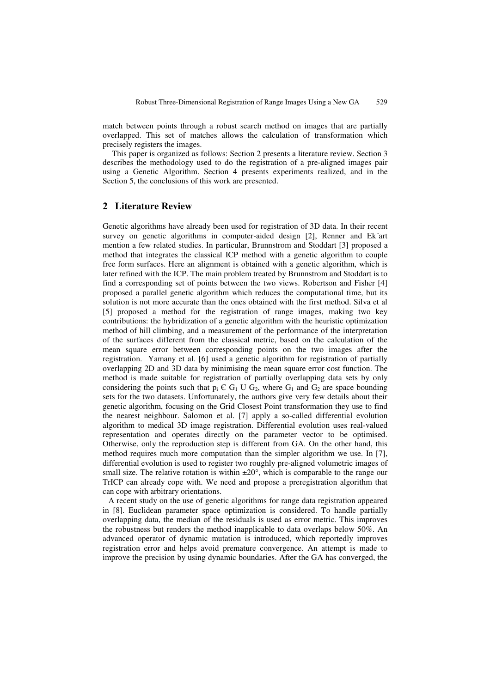match between points through a robust search method on images that are partially overlapped. This set of matches allows the calculation of transformation which precisely registers the images.

This paper is organized as follows: Section 2 presents a literature review. Section 3 describes the methodology used to do the registration of a pre-aligned images pair using a Genetic Algorithm. Section 4 presents experiments realized, and in the Section 5, the conclusions of this work are presented.

### **2 Literature Review**

Genetic algorithms have already been used for registration of 3D data. In their recent survey on genetic algorithms in computer-aided design [2], Renner and Ek´art mention a few related studies. In particular, Brunnstrom and Stoddart [3] proposed a method that integrates the classical ICP method with a genetic algorithm to couple free form surfaces. Here an alignment is obtained with a genetic algorithm, which is later refined with the ICP. The main problem treated by Brunnstrom and Stoddart is to find a corresponding set of points between the two views. Robertson and Fisher [4] proposed a parallel genetic algorithm which reduces the computational time, but its solution is not more accurate than the ones obtained with the first method. Silva et al [5] proposed a method for the registration of range images, making two key contributions: the hybridization of a genetic algorithm with the heuristic optimization method of hill climbing, and a measurement of the performance of the interpretation of the surfaces different from the classical metric, based on the calculation of the mean square error between corresponding points on the two images after the registration. Yamany et al. [6] used a genetic algorithm for registration of partially overlapping 2D and 3D data by minimising the mean square error cost function. The method is made suitable for registration of partially overlapping data sets by only considering the points such that  $p_i \in G_1 \cup G_2$ , where  $G_1$  and  $G_2$  are space bounding sets for the two datasets. Unfortunately, the authors give very few details about their genetic algorithm, focusing on the Grid Closest Point transformation they use to find the nearest neighbour. Salomon et al. [7] apply a so-called differential evolution algorithm to medical 3D image registration. Differential evolution uses real-valued representation and operates directly on the parameter vector to be optimised. Otherwise, only the reproduction step is different from GA. On the other hand, this method requires much more computation than the simpler algorithm we use. In [7], differential evolution is used to register two roughly pre-aligned volumetric images of small size. The relative rotation is within  $\pm 20^{\circ}$ , which is comparable to the range our TrICP can already cope with. We need and propose a preregistration algorithm that can cope with arbitrary orientations.

A recent study on the use of genetic algorithms for range data registration appeared in [8]. Euclidean parameter space optimization is considered. To handle partially overlapping data, the median of the residuals is used as error metric. This improves the robustness but renders the method inapplicable to data overlaps below 50%. An advanced operator of dynamic mutation is introduced, which reportedly improves registration error and helps avoid premature convergence. An attempt is made to improve the precision by using dynamic boundaries. After the GA has converged, the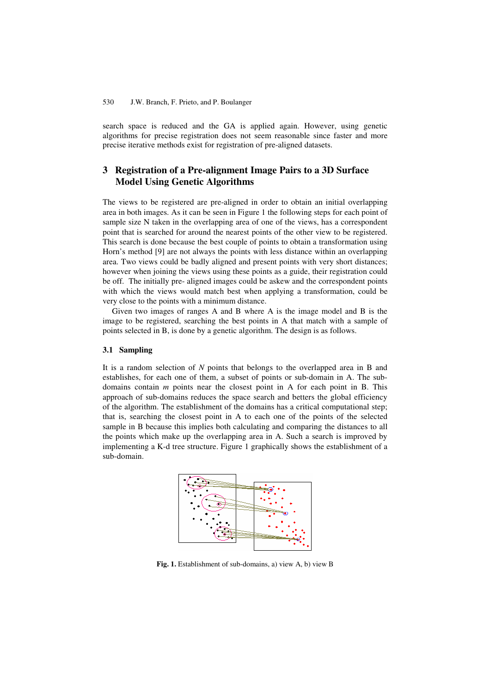search space is reduced and the GA is applied again. However, using genetic algorithms for precise registration does not seem reasonable since faster and more precise iterative methods exist for registration of pre-aligned datasets.

# **3 Registration of a Pre-alignment Image Pairs to a 3D Surface Model Using Genetic Algorithms**

The views to be registered are pre-aligned in order to obtain an initial overlapping area in both images. As it can be seen in Figure 1 the following steps for each point of sample size N taken in the overlapping area of one of the views, has a correspondent point that is searched for around the nearest points of the other view to be registered. This search is done because the best couple of points to obtain a transformation using Horn's method [9] are not always the points with less distance within an overlapping area. Two views could be badly aligned and present points with very short distances; however when joining the views using these points as a guide, their registration could be off. The initially pre- aligned images could be askew and the correspondent points with which the views would match best when applying a transformation, could be very close to the points with a minimum distance.

Given two images of ranges A and B where A is the image model and B is the image to be registered, searching the best points in A that match with a sample of points selected in B, is done by a genetic algorithm. The design is as follows.

#### **3.1 Sampling**

It is a random selection of *N* points that belongs to the overlapped area in B and establishes, for each one of them, a subset of points or sub-domain in A. The subdomains contain *m* points near the closest point in A for each point in B. This approach of sub-domains reduces the space search and betters the global efficiency of the algorithm. The establishment of the domains has a critical computational step; that is, searching the closest point in A to each one of the points of the selected sample in B because this implies both calculating and comparing the distances to all the points which make up the overlapping area in A. Such a search is improved by implementing a K-d tree structure. Figure 1 graphically shows the establishment of a sub-domain.



Fig. 1. Establishment of sub-domains, a) view A, b) view B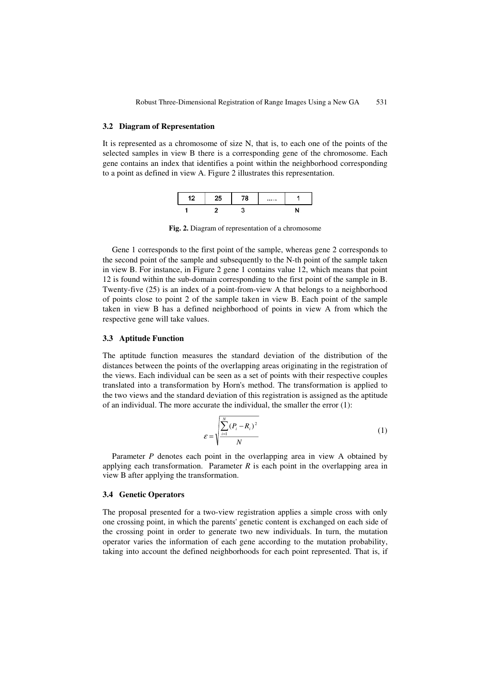#### **3.2 Diagram of Representation**

It is represented as a chromosome of size N, that is, to each one of the points of the selected samples in view B there is a corresponding gene of the chromosome. Each gene contains an index that identifies a point within the neighborhood corresponding to a point as defined in view A. Figure 2 illustrates this representation.



**Fig. 2.** Diagram of representation of a chromosome

Gene 1 corresponds to the first point of the sample, whereas gene 2 corresponds to the second point of the sample and subsequently to the N-th point of the sample taken in view B. For instance, in Figure 2 gene 1 contains value 12, which means that point 12 is found within the sub-domain corresponding to the first point of the sample in B. Twenty-five (25) is an index of a point-from-view A that belongs to a neighborhood of points close to point 2 of the sample taken in view B. Each point of the sample taken in view B has a defined neighborhood of points in view A from which the respective gene will take values.

#### **3.3 Aptitude Function**

The aptitude function measures the standard deviation of the distribution of the distances between the points of the overlapping areas originating in the registration of the views. Each individual can be seen as a set of points with their respective couples translated into a transformation by Horn's method. The transformation is applied to the two views and the standard deviation of this registration is assigned as the aptitude of an individual. The more accurate the individual, the smaller the error (1):

$$
\varepsilon = \sqrt{\frac{\sum_{i=1}^{N} (P_i - R_i)^2}{N}}
$$
 (1)

Parameter *P* denotes each point in the overlapping area in view A obtained by applying each transformation. Parameter  $R$  is each point in the overlapping area in view B after applying the transformation.

#### **3.4 Genetic Operators**

The proposal presented for a two-view registration applies a simple cross with only one crossing point, in which the parents' genetic content is exchanged on each side of the crossing point in order to generate two new individuals. In turn, the mutation operator varies the information of each gene according to the mutation probability, taking into account the defined neighborhoods for each point represented. That is, if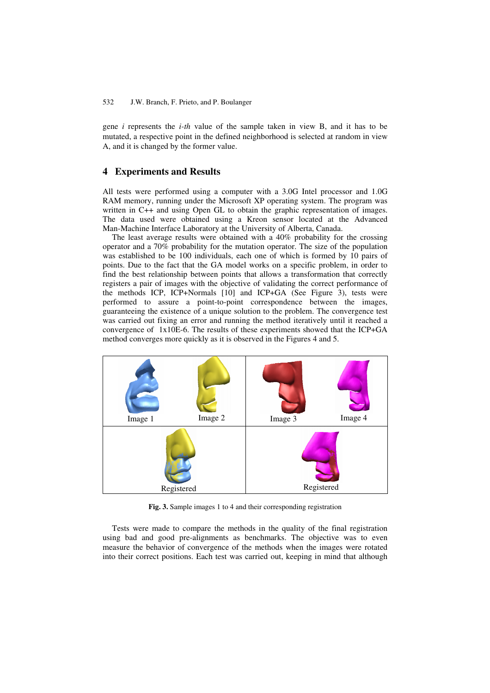gene *i* represents the *i-th* value of the sample taken in view B, and it has to be mutated, a respective point in the defined neighborhood is selected at random in view A, and it is changed by the former value.

## **4 Experiments and Results**

All tests were performed using a computer with a 3.0G Intel processor and 1.0G RAM memory, running under the Microsoft XP operating system. The program was written in C++ and using Open GL to obtain the graphic representation of images. The data used were obtained using a Kreon sensor located at the Advanced Man-Machine Interface Laboratory at the University of Alberta, Canada.

The least average results were obtained with a 40% probability for the crossing operator and a 70% probability for the mutation operator. The size of the population was established to be 100 individuals, each one of which is formed by 10 pairs of points. Due to the fact that the GA model works on a specific problem, in order to find the best relationship between points that allows a transformation that correctly registers a pair of images with the objective of validating the correct performance of the methods ICP, ICP+Normals [10] and ICP+GA (See Figure 3), tests were performed to assure a point-to-point correspondence between the images, guaranteeing the existence of a unique solution to the problem. The convergence test was carried out fixing an error and running the method iteratively until it reached a convergence of 1x10E-6. The results of these experiments showed that the ICP+GA method converges more quickly as it is observed in the Figures 4 and 5.



**Fig. 3.** Sample images 1 to 4 and their corresponding registration

Tests were made to compare the methods in the quality of the final registration using bad and good pre-alignments as benchmarks. The objective was to even measure the behavior of convergence of the methods when the images were rotated into their correct positions. Each test was carried out, keeping in mind that although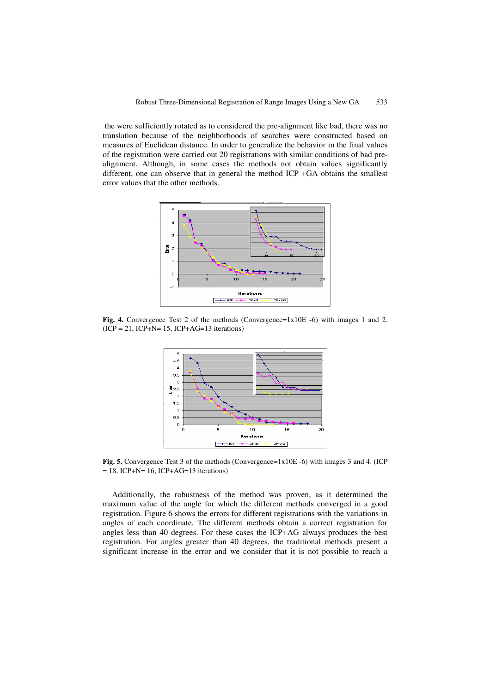the were sufficiently rotated as to considered the pre-alignment like bad, there was no translation because of the neighborhoods of searches were constructed based on measures of Euclidean distance. In order to generalize the behavior in the final values of the registration were carried out 20 registrations with similar conditions of bad prealignment. Although, in some cases the methods not obtain values significantly different, one can observe that in general the method ICP +GA obtains the smallest error values that the other methods.



**Fig. 4.** Convergence Test 2 of the methods (Convergence=1x10E -6) with images 1 and 2.  $(ICP = 21, ICP+N= 15, ICP+AG=13$  iterations)



**Fig. 5.** Convergence Test 3 of the methods (Convergence=1x10E -6) with images 3 and 4. (ICP  $= 18$ , ICP+N= 16, ICP+AG=13 iterations)

Additionally, the robustness of the method was proven, as it determined the maximum value of the angle for which the different methods converged in a good registration. Figure 6 shows the errors for different registrations with the variations in angles of each coordinate. The different methods obtain a correct registration for angles less than 40 degrees. For these cases the ICP+AG always produces the best registration. For angles greater than 40 degrees, the traditional methods present a significant increase in the error and we consider that it is not possible to reach a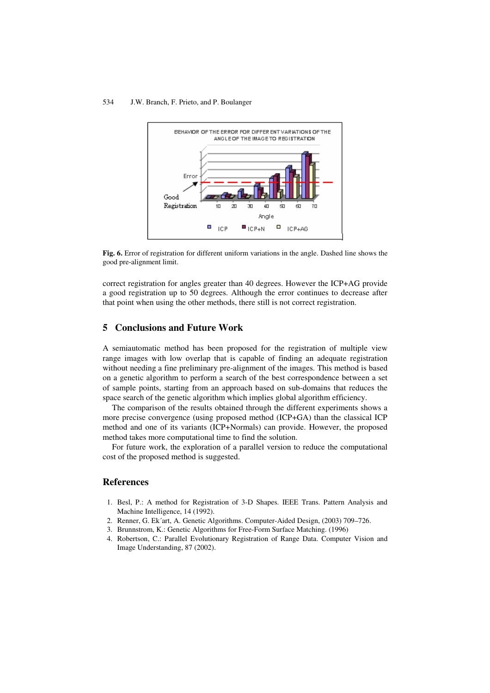#### 534 J.W. Branch, F. Prieto, and P. Boulanger



**Fig. 6.** Error of registration for different uniform variations in the angle. Dashed line shows the good pre-alignment limit.

correct registration for angles greater than 40 degrees. However the ICP+AG provide a good registration up to 50 degrees. Although the error continues to decrease after that point when using the other methods, there still is not correct registration.

### **5 Conclusions and Future Work**

A semiautomatic method has been proposed for the registration of multiple view range images with low overlap that is capable of finding an adequate registration without needing a fine preliminary pre-alignment of the images. This method is based on a genetic algorithm to perform a search of the best correspondence between a set of sample points, starting from an approach based on sub-domains that reduces the space search of the genetic algorithm which implies global algorithm efficiency.

The comparison of the results obtained through the different experiments shows a more precise convergence (using proposed method (ICP+GA) than the classical ICP method and one of its variants (ICP+Normals) can provide. However, the proposed method takes more computational time to find the solution.

For future work, the exploration of a parallel version to reduce the computational cost of the proposed method is suggested.

## **References**

- 1. Besl, P.: A method for Registration of 3-D Shapes. IEEE Trans. Pattern Analysis and Machine Intelligence, 14 (1992).
- 2. Renner, G. Ek´art, A. Genetic Algorithms. Computer-Aided Design, (2003) 709–726.
- 3. Brunnstrom, K.: Genetic Algorithms for Free-Form Surface Matching. (1996)
- 4. Robertson, C.: Parallel Evolutionary Registration of Range Data. Computer Vision and Image Understanding, 87 (2002).